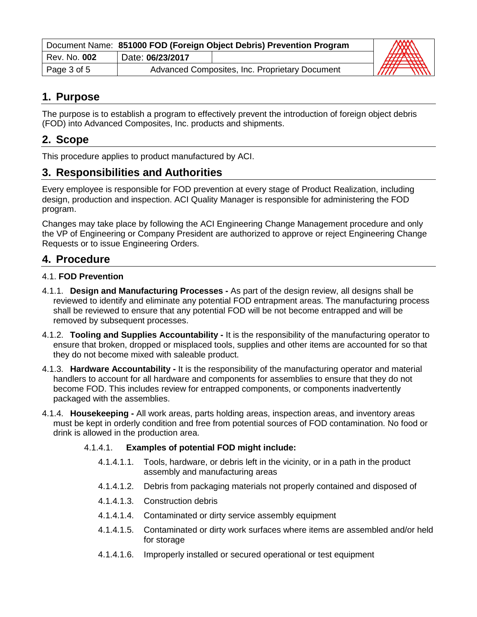| Document Name: 851000 FOD (Foreign Object Debris) Prevention Program |                                                |  |                                        |
|----------------------------------------------------------------------|------------------------------------------------|--|----------------------------------------|
| Rev. No. 002                                                         | Date: 06/23/2017                               |  | <b>FRANCISCO</b>                       |
| Page 3 of 5                                                          | Advanced Composites, Inc. Proprietary Document |  | $\overline{m}$<br><i>THTT</i><br>11111 |

## **1. Purpose**

The purpose is to establish a program to effectively prevent the introduction of foreign object debris (FOD) into Advanced Composites, Inc. products and shipments.

# **2. Scope**

This procedure applies to product manufactured by ACI.

# **3. Responsibilities and Authorities**

Every employee is responsible for FOD prevention at every stage of Product Realization, including design, production and inspection. ACI Quality Manager is responsible for administering the FOD program.

Changes may take place by following the ACI Engineering Change Management procedure and only the VP of Engineering or Company President are authorized to approve or reject Engineering Change Requests or to issue Engineering Orders.

#### **4. Procedure**

#### 4.1. **FOD Prevention**

- 4.1.1. **Design and Manufacturing Processes -** As part of the design review, all designs shall be reviewed to identify and eliminate any potential FOD entrapment areas. The manufacturing process shall be reviewed to ensure that any potential FOD will be not become entrapped and will be removed by subsequent processes.
- 4.1.2. **Tooling and Supplies Accountability -** It is the responsibility of the manufacturing operator to ensure that broken, dropped or misplaced tools, supplies and other items are accounted for so that they do not become mixed with saleable product.
- 4.1.3. **Hardware Accountability -** It is the responsibility of the manufacturing operator and material handlers to account for all hardware and components for assemblies to ensure that they do not become FOD. This includes review for entrapped components, or components inadvertently packaged with the assemblies.
- 4.1.4. **Housekeeping -** All work areas, parts holding areas, inspection areas, and inventory areas must be kept in orderly condition and free from potential sources of FOD contamination. No food or drink is allowed in the production area.

#### 4.1.4.1. **Examples of potential FOD might include:**

- 4.1.4.1.1. Tools, hardware, or debris left in the vicinity, or in a path in the product assembly and manufacturing areas
- 4.1.4.1.2. Debris from packaging materials not properly contained and disposed of
- 4.1.4.1.3. Construction debris
- 4.1.4.1.4. Contaminated or dirty service assembly equipment
- 4.1.4.1.5. Contaminated or dirty work surfaces where items are assembled and/or held for storage
- 4.1.4.1.6. Improperly installed or secured operational or test equipment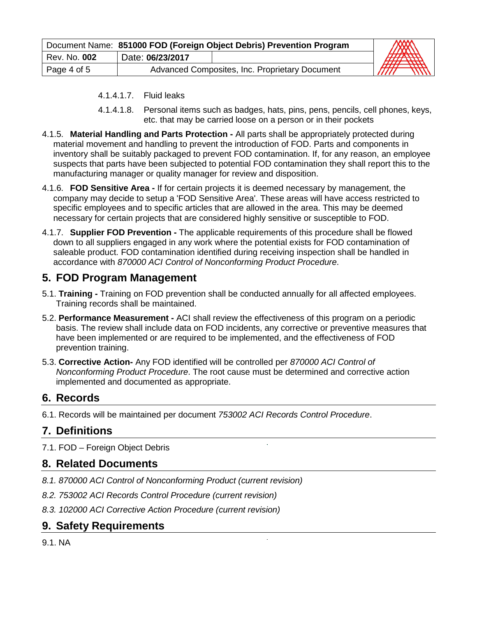|              | Document Name: 851000 FOD (Foreign Object Debris) Prevention Program |  |                                      |
|--------------|----------------------------------------------------------------------|--|--------------------------------------|
| Rev. No. 002 | Date: 06/23/2017                                                     |  | MAN<br><b>AHAW</b><br>$\overline{H}$ |
| Page 4 of 5  | Advanced Composites, Inc. Proprietary Document                       |  | //////                               |

- 4.1.4.1.7. Fluid leaks
- 4.1.4.1.8. Personal items such as badges, hats, pins, pens, pencils, cell phones, keys, etc. that may be carried loose on a person or in their pockets
- 4.1.5. **Material Handling and Parts Protection -** All parts shall be appropriately protected during material movement and handling to prevent the introduction of FOD. Parts and components in inventory shall be suitably packaged to prevent FOD contamination. If, for any reason, an employee suspects that parts have been subjected to potential FOD contamination they shall report this to the manufacturing manager or quality manager for review and disposition.
- 4.1.6. **FOD Sensitive Area -** If for certain projects it is deemed necessary by management, the company may decide to setup a 'FOD Sensitive Area'. These areas will have access restricted to specific employees and to specific articles that are allowed in the area. This may be deemed necessary for certain projects that are considered highly sensitive or susceptible to FOD.
- 4.1.7. **Supplier FOD Prevention -** The applicable requirements of this procedure shall be flowed down to all suppliers engaged in any work where the potential exists for FOD contamination of saleable product. FOD contamination identified during receiving inspection shall be handled in accordance with *870000 ACI Control of Nonconforming Product Procedure*.

## **5. FOD Program Management**

- 5.1. **Training -** Training on FOD prevention shall be conducted annually for all affected employees. Training records shall be maintained.
- 5.2. **Performance Measurement -** ACI shall review the effectiveness of this program on a periodic basis. The review shall include data on FOD incidents, any corrective or preventive measures that have been implemented or are required to be implemented, and the effectiveness of FOD prevention training.
- 5.3. **Corrective Action-** Any FOD identified will be controlled per *870000 ACI Control of Nonconforming Product Procedure*. The root cause must be determined and corrective action implemented and documented as appropriate.

# **6. Records**

6.1. Records will be maintained per document *753002 ACI Records Control Procedure*.

# **7. Definitions**

7.1. FOD – Foreign Object Debris

#### **8. Related Documents**

- *8.1. 870000 ACI Control of Nonconforming Product (current revision)*
- *8.2. 753002 ACI Records Control Procedure (current revision)*
- *8.3. 102000 ACI Corrective Action Procedure (current revision)*

## **9. Safety Requirements**

9.1. NA